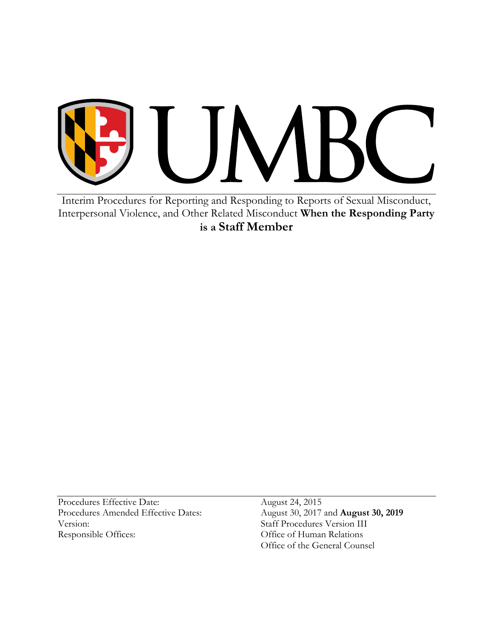

Interim Procedures for Reporting and Responding to Reports of Sexual Misconduct, Interpersonal Violence, and Other Related Misconduct **When the Responding Party is a Staff Member**

Procedures Effective Date: August 24, 2015 Procedures Amended Effective Dates: August 30, 2017 and **August 30, 2019** Version: Staff Procedures Version III Responsible Offices: Office of Human Relations

Office of the General Counsel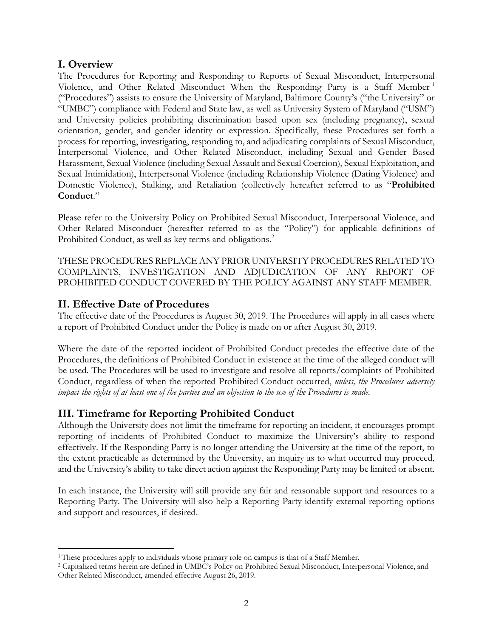# **I. Overview**

 $\overline{a}$ 

The Procedures for Reporting and Responding to Reports of Sexual Misconduct, Interpersonal Violence, and Other Related Misconduct When the Responding Party is a Staff Member <sup>1</sup> ("Procedures") assists to ensure the University of Maryland, Baltimore County's ("the University" or "UMBC") compliance with Federal and State law, as well as University System of Maryland ("USM") and University policies prohibiting discrimination based upon sex (including pregnancy), sexual orientation, gender, and gender identity or expression. Specifically, these Procedures set forth a process for reporting, investigating, responding to, and adjudicating complaints of Sexual Misconduct, Interpersonal Violence, and Other Related Misconduct, including Sexual and Gender Based Harassment, Sexual Violence (including Sexual Assault and Sexual Coercion), Sexual Exploitation, and Sexual Intimidation), Interpersonal Violence (including Relationship Violence (Dating Violence) and Domestic Violence), Stalking, and Retaliation (collectively hereafter referred to as "**Prohibited Conduct**."

Please refer to the University Policy on Prohibited Sexual Misconduct, Interpersonal Violence, and Other Related Misconduct (hereafter referred to as the "Policy") for applicable definitions of Prohibited Conduct, as well as key terms and obligations.<sup>2</sup>

THESE PROCEDURES REPLACE ANY PRIOR UNIVERSITY PROCEDURES RELATED TO COMPLAINTS, INVESTIGATION AND ADJUDICATION OF ANY REPORT OF PROHIBITED CONDUCT COVERED BY THE POLICY AGAINST ANY STAFF MEMBER.

# **II. Effective Date of Procedures**

The effective date of the Procedures is August 30, 2019. The Procedures will apply in all cases where a report of Prohibited Conduct under the Policy is made on or after August 30, 2019.

Where the date of the reported incident of Prohibited Conduct precedes the effective date of the Procedures, the definitions of Prohibited Conduct in existence at the time of the alleged conduct will be used. The Procedures will be used to investigate and resolve all reports/complaints of Prohibited Conduct, regardless of when the reported Prohibited Conduct occurred, *unless, the Procedures adversely impact the rights of at least one of the parties and an objection to the use of the Procedures is made*.

# **III. Timeframe for Reporting Prohibited Conduct**

Although the University does not limit the timeframe for reporting an incident, it encourages prompt reporting of incidents of Prohibited Conduct to maximize the University's ability to respond effectively. If the Responding Party is no longer attending the University at the time of the report, to the extent practicable as determined by the University, an inquiry as to what occurred may proceed, and the University's ability to take direct action against the Responding Party may be limited or absent.

In each instance, the University will still provide any fair and reasonable support and resources to a Reporting Party. The University will also help a Reporting Party identify external reporting options and support and resources, if desired.

<sup>&</sup>lt;sup>1</sup> These procedures apply to individuals whose primary role on campus is that of a Staff Member.

<sup>2</sup> Capitalized terms herein are defined in UMBC's Policy on Prohibited Sexual Misconduct, Interpersonal Violence, and Other Related Misconduct, amended effective August 26, 2019.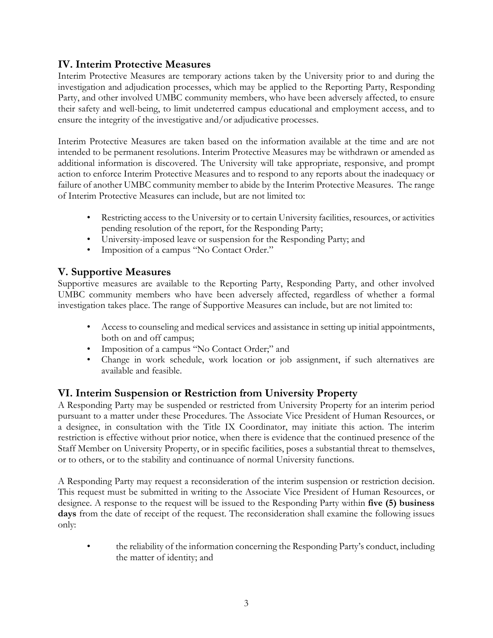# **IV. Interim Protective Measures**

Interim Protective Measures are temporary actions taken by the University prior to and during the investigation and adjudication processes, which may be applied to the Reporting Party, Responding Party, and other involved UMBC community members, who have been adversely affected, to ensure their safety and well-being, to limit undeterred campus educational and employment access, and to ensure the integrity of the investigative and/or adjudicative processes.

Interim Protective Measures are taken based on the information available at the time and are not intended to be permanent resolutions. Interim Protective Measures may be withdrawn or amended as additional information is discovered. The University will take appropriate, responsive, and prompt action to enforce Interim Protective Measures and to respond to any reports about the inadequacy or failure of another UMBC community member to abide by the Interim Protective Measures. The range of Interim Protective Measures can include, but are not limited to:

- Restricting access to the University or to certain University facilities, resources, or activities pending resolution of the report, for the Responding Party;
- University-imposed leave or suspension for the Responding Party; and
- Imposition of a campus "No Contact Order."

# **V. Supportive Measures**

Supportive measures are available to the Reporting Party, Responding Party, and other involved UMBC community members who have been adversely affected, regardless of whether a formal investigation takes place. The range of Supportive Measures can include, but are not limited to:

- Access to counseling and medical services and assistance in setting up initial appointments, both on and off campus;
- Imposition of a campus "No Contact Order;" and
- Change in work schedule, work location or job assignment, if such alternatives are available and feasible.

# **VI. Interim Suspension or Restriction from University Property**

A Responding Party may be suspended or restricted from University Property for an interim period pursuant to a matter under these Procedures. The Associate Vice President of Human Resources, or a designee, in consultation with the Title IX Coordinator, may initiate this action. The interim restriction is effective without prior notice, when there is evidence that the continued presence of the Staff Member on University Property, or in specific facilities, poses a substantial threat to themselves, or to others, or to the stability and continuance of normal University functions.

A Responding Party may request a reconsideration of the interim suspension or restriction decision. This request must be submitted in writing to the Associate Vice President of Human Resources, or designee. A response to the request will be issued to the Responding Party within **five (5) business days** from the date of receipt of the request. The reconsideration shall examine the following issues only:

• the reliability of the information concerning the Responding Party's conduct, including the matter of identity; and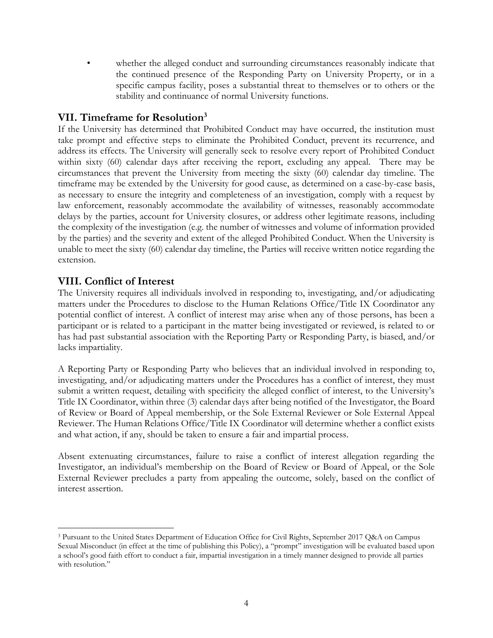whether the alleged conduct and surrounding circumstances reasonably indicate that the continued presence of the Responding Party on University Property, or in a specific campus facility, poses a substantial threat to themselves or to others or the stability and continuance of normal University functions.

# **VII. Timeframe for Resolution<sup>3</sup>**

If the University has determined that Prohibited Conduct may have occurred, the institution must take prompt and effective steps to eliminate the Prohibited Conduct, prevent its recurrence, and address its effects. The University will generally seek to resolve every report of Prohibited Conduct within sixty (60) calendar days after receiving the report, excluding any appeal. There may be circumstances that prevent the University from meeting the sixty (60) calendar day timeline. The timeframe may be extended by the University for good cause, as determined on a case-by-case basis, as necessary to ensure the integrity and completeness of an investigation, comply with a request by law enforcement, reasonably accommodate the availability of witnesses, reasonably accommodate delays by the parties, account for University closures, or address other legitimate reasons, including the complexity of the investigation (e.g. the number of witnesses and volume of information provided by the parties) and the severity and extent of the alleged Prohibited Conduct. When the University is unable to meet the sixty (60) calendar day timeline, the Parties will receive written notice regarding the extension.

# **VIII. Conflict of Interest**

 $\overline{a}$ 

The University requires all individuals involved in responding to, investigating, and/or adjudicating matters under the Procedures to disclose to the Human Relations Office/Title IX Coordinator any potential conflict of interest. A conflict of interest may arise when any of those persons, has been a participant or is related to a participant in the matter being investigated or reviewed, is related to or has had past substantial association with the Reporting Party or Responding Party, is biased, and/or lacks impartiality.

A Reporting Party or Responding Party who believes that an individual involved in responding to, investigating, and/or adjudicating matters under the Procedures has a conflict of interest, they must submit a written request, detailing with specificity the alleged conflict of interest, to the University's Title IX Coordinator, within three (3) calendar days after being notified of the Investigator, the Board of Review or Board of Appeal membership, or the Sole External Reviewer or Sole External Appeal Reviewer. The Human Relations Office/Title IX Coordinator will determine whether a conflict exists and what action, if any, should be taken to ensure a fair and impartial process.

Absent extenuating circumstances, failure to raise a conflict of interest allegation regarding the Investigator, an individual's membership on the Board of Review or Board of Appeal, or the Sole External Reviewer precludes a party from appealing the outcome, solely, based on the conflict of interest assertion.

<sup>3</sup> Pursuant to the United States Department of Education Office for Civil Rights, September 2017 Q&A on Campus Sexual Misconduct (in effect at the time of publishing this Policy), a "prompt" investigation will be evaluated based upon a school's good faith effort to conduct a fair, impartial investigation in a timely manner designed to provide all parties with resolution."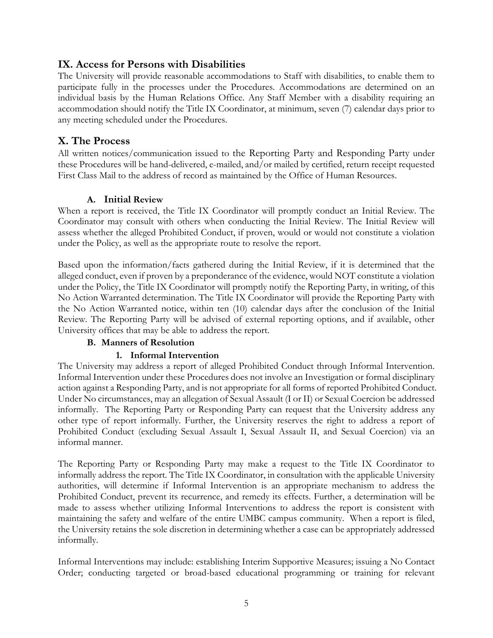# **IX. Access for Persons with Disabilities**

The University will provide reasonable accommodations to Staff with disabilities, to enable them to participate fully in the processes under the Procedures. Accommodations are determined on an individual basis by the Human Relations Office. Any Staff Member with a disability requiring an accommodation should notify the Title IX Coordinator, at minimum, seven (7) calendar days prior to any meeting scheduled under the Procedures.

# **X. The Process**

All written notices/communication issued to the Reporting Party and Responding Party under these Procedures will be hand-delivered, e-mailed, and/or mailed by certified, return receipt requested First Class Mail to the address of record as maintained by the Office of Human Resources.

## **A. Initial Review**

When a report is received, the Title IX Coordinator will promptly conduct an Initial Review. The Coordinator may consult with others when conducting the Initial Review. The Initial Review will assess whether the alleged Prohibited Conduct, if proven, would or would not constitute a violation under the Policy, as well as the appropriate route to resolve the report.

Based upon the information/facts gathered during the Initial Review, if it is determined that the alleged conduct, even if proven by a preponderance of the evidence, would NOT constitute a violation under the Policy, the Title IX Coordinator will promptly notify the Reporting Party, in writing, of this No Action Warranted determination. The Title IX Coordinator will provide the Reporting Party with the No Action Warranted notice, within ten (10) calendar days after the conclusion of the Initial Review. The Reporting Party will be advised of external reporting options, and if available, other University offices that may be able to address the report.

#### **B. Manners of Resolution**

#### **1. Informal Intervention**

The University may address a report of alleged Prohibited Conduct through Informal Intervention. Informal Intervention under these Procedures does not involve an Investigation or formal disciplinary action against a Responding Party, and is not appropriate for all forms of reported Prohibited Conduct. Under No circumstances, may an allegation of Sexual Assault (I or II) or Sexual Coercion be addressed informally. The Reporting Party or Responding Party can request that the University address any other type of report informally. Further, the University reserves the right to address a report of Prohibited Conduct (excluding Sexual Assault I, Sexual Assault II, and Sexual Coercion) via an informal manner.

The Reporting Party or Responding Party may make a request to the Title IX Coordinator to informally address the report. The Title IX Coordinator, in consultation with the applicable University authorities, will determine if Informal Intervention is an appropriate mechanism to address the Prohibited Conduct, prevent its recurrence, and remedy its effects. Further, a determination will be made to assess whether utilizing Informal Interventions to address the report is consistent with maintaining the safety and welfare of the entire UMBC campus community. When a report is filed, the University retains the sole discretion in determining whether a case can be appropriately addressed informally.

Informal Interventions may include: establishing Interim Supportive Measures; issuing a No Contact Order; conducting targeted or broad-based educational programming or training for relevant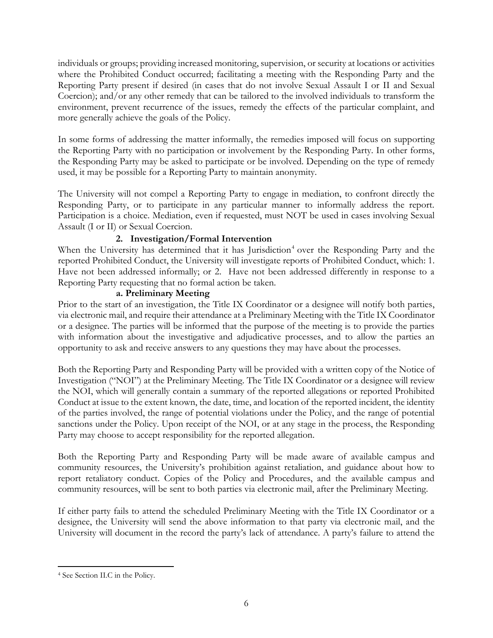individuals or groups; providing increased monitoring, supervision, or security at locations or activities where the Prohibited Conduct occurred; facilitating a meeting with the Responding Party and the Reporting Party present if desired (in cases that do not involve Sexual Assault I or II and Sexual Coercion); and/or any other remedy that can be tailored to the involved individuals to transform the environment, prevent recurrence of the issues, remedy the effects of the particular complaint, and more generally achieve the goals of the Policy.

In some forms of addressing the matter informally, the remedies imposed will focus on supporting the Reporting Party with no participation or involvement by the Responding Party. In other forms, the Responding Party may be asked to participate or be involved. Depending on the type of remedy used, it may be possible for a Reporting Party to maintain anonymity.

The University will not compel a Reporting Party to engage in mediation, to confront directly the Responding Party, or to participate in any particular manner to informally address the report. Participation is a choice. Mediation, even if requested, must NOT be used in cases involving Sexual Assault (I or II) or Sexual Coercion.

#### **2. Investigation/Formal Intervention**

When the University has determined that it has Jurisdiction<sup>4</sup> over the Responding Party and the reported Prohibited Conduct, the University will investigate reports of Prohibited Conduct, which: 1. Have not been addressed informally; or 2. Have not been addressed differently in response to a Reporting Party requesting that no formal action be taken.

# **a. Preliminary Meeting**

Prior to the start of an investigation, the Title IX Coordinator or a designee will notify both parties, via electronic mail, and require their attendance at a Preliminary Meeting with the Title IX Coordinator or a designee. The parties will be informed that the purpose of the meeting is to provide the parties with information about the investigative and adjudicative processes, and to allow the parties an opportunity to ask and receive answers to any questions they may have about the processes.

Both the Reporting Party and Responding Party will be provided with a written copy of the Notice of Investigation ("NOI") at the Preliminary Meeting. The Title IX Coordinator or a designee will review the NOI, which will generally contain a summary of the reported allegations or reported Prohibited Conduct at issue to the extent known, the date, time, and location of the reported incident, the identity of the parties involved, the range of potential violations under the Policy, and the range of potential sanctions under the Policy. Upon receipt of the NOI, or at any stage in the process, the Responding Party may choose to accept responsibility for the reported allegation.

Both the Reporting Party and Responding Party will be made aware of available campus and community resources, the University's prohibition against retaliation, and guidance about how to report retaliatory conduct. Copies of the Policy and Procedures, and the available campus and community resources, will be sent to both parties via electronic mail, after the Preliminary Meeting.

If either party fails to attend the scheduled Preliminary Meeting with the Title IX Coordinator or a designee, the University will send the above information to that party via electronic mail, and the University will document in the record the party's lack of attendance. A party's failure to attend the

 $\overline{a}$ <sup>4</sup> See Section II.C in the Policy.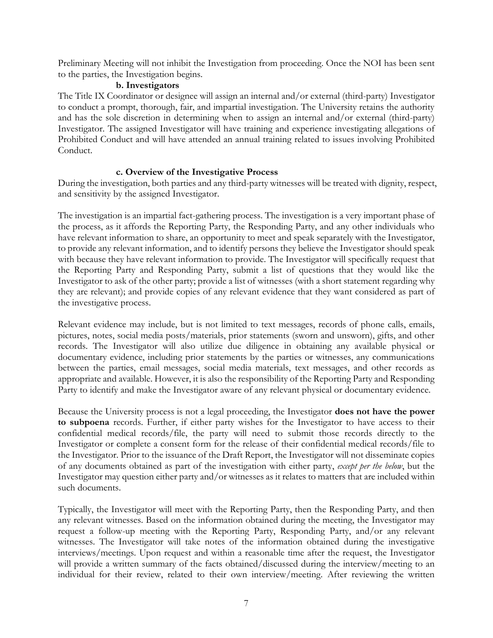Preliminary Meeting will not inhibit the Investigation from proceeding. Once the NOI has been sent to the parties, the Investigation begins.

# **b. Investigators**

The Title IX Coordinator or designee will assign an internal and/or external (third-party) Investigator to conduct a prompt, thorough, fair, and impartial investigation. The University retains the authority and has the sole discretion in determining when to assign an internal and/or external (third-party) Investigator. The assigned Investigator will have training and experience investigating allegations of Prohibited Conduct and will have attended an annual training related to issues involving Prohibited Conduct.

#### **c. Overview of the Investigative Process**

During the investigation, both parties and any third-party witnesses will be treated with dignity, respect, and sensitivity by the assigned Investigator.

The investigation is an impartial fact-gathering process. The investigation is a very important phase of the process, as it affords the Reporting Party, the Responding Party, and any other individuals who have relevant information to share, an opportunity to meet and speak separately with the Investigator, to provide any relevant information, and to identify persons they believe the Investigator should speak with because they have relevant information to provide. The Investigator will specifically request that the Reporting Party and Responding Party, submit a list of questions that they would like the Investigator to ask of the other party; provide a list of witnesses (with a short statement regarding why they are relevant); and provide copies of any relevant evidence that they want considered as part of the investigative process.

Relevant evidence may include, but is not limited to text messages, records of phone calls, emails, pictures, notes, social media posts/materials, prior statements (sworn and unsworn), gifts, and other records. The Investigator will also utilize due diligence in obtaining any available physical or documentary evidence, including prior statements by the parties or witnesses, any communications between the parties, email messages, social media materials, text messages, and other records as appropriate and available. However, it is also the responsibility of the Reporting Party and Responding Party to identify and make the Investigator aware of any relevant physical or documentary evidence.

Because the University process is not a legal proceeding, the Investigator **does not have the power to subpoena** records. Further, if either party wishes for the Investigator to have access to their confidential medical records/file, the party will need to submit those records directly to the Investigator or complete a consent form for the release of their confidential medical records/file to the Investigator. Prior to the issuance of the Draft Report, the Investigator will not disseminate copies of any documents obtained as part of the investigation with either party, *except per the below*, but the Investigator may question either party and/or witnesses as it relates to matters that are included within such documents.

Typically, the Investigator will meet with the Reporting Party, then the Responding Party, and then any relevant witnesses. Based on the information obtained during the meeting, the Investigator may request a follow-up meeting with the Reporting Party, Responding Party, and/or any relevant witnesses. The Investigator will take notes of the information obtained during the investigative interviews/meetings. Upon request and within a reasonable time after the request, the Investigator will provide a written summary of the facts obtained/discussed during the interview/meeting to an individual for their review, related to their own interview/meeting. After reviewing the written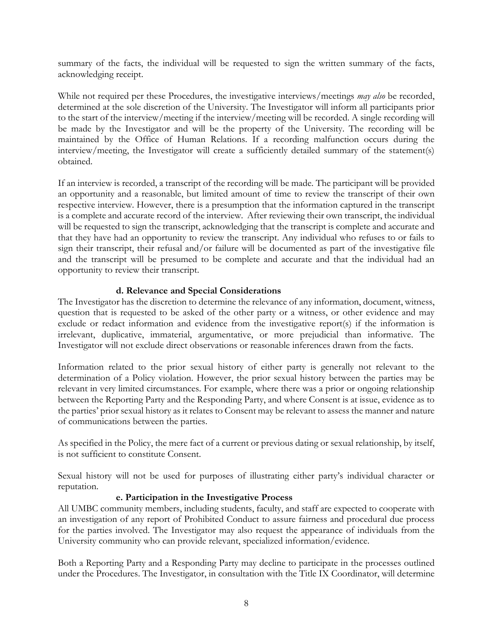summary of the facts, the individual will be requested to sign the written summary of the facts, acknowledging receipt.

While not required per these Procedures, the investigative interviews/meetings *may also* be recorded, determined at the sole discretion of the University. The Investigator will inform all participants prior to the start of the interview/meeting if the interview/meeting will be recorded. A single recording will be made by the Investigator and will be the property of the University. The recording will be maintained by the Office of Human Relations. If a recording malfunction occurs during the interview/meeting, the Investigator will create a sufficiently detailed summary of the statement(s) obtained.

If an interview is recorded, a transcript of the recording will be made. The participant will be provided an opportunity and a reasonable, but limited amount of time to review the transcript of their own respective interview. However, there is a presumption that the information captured in the transcript is a complete and accurate record of the interview. After reviewing their own transcript, the individual will be requested to sign the transcript, acknowledging that the transcript is complete and accurate and that they have had an opportunity to review the transcript. Any individual who refuses to or fails to sign their transcript, their refusal and/or failure will be documented as part of the investigative file and the transcript will be presumed to be complete and accurate and that the individual had an opportunity to review their transcript.

#### **d. Relevance and Special Considerations**

The Investigator has the discretion to determine the relevance of any information, document, witness, question that is requested to be asked of the other party or a witness, or other evidence and may exclude or redact information and evidence from the investigative report(s) if the information is irrelevant, duplicative, immaterial, argumentative, or more prejudicial than informative. The Investigator will not exclude direct observations or reasonable inferences drawn from the facts.

Information related to the prior sexual history of either party is generally not relevant to the determination of a Policy violation. However, the prior sexual history between the parties may be relevant in very limited circumstances. For example, where there was a prior or ongoing relationship between the Reporting Party and the Responding Party, and where Consent is at issue, evidence as to the parties' prior sexual history as it relates to Consent may be relevant to assess the manner and nature of communications between the parties.

As specified in the Policy, the mere fact of a current or previous dating or sexual relationship, by itself, is not sufficient to constitute Consent.

Sexual history will not be used for purposes of illustrating either party's individual character or reputation.

#### **e. Participation in the Investigative Process**

All UMBC community members, including students, faculty, and staff are expected to cooperate with an investigation of any report of Prohibited Conduct to assure fairness and procedural due process for the parties involved. The Investigator may also request the appearance of individuals from the University community who can provide relevant, specialized information/evidence.

Both a Reporting Party and a Responding Party may decline to participate in the processes outlined under the Procedures. The Investigator, in consultation with the Title IX Coordinator, will determine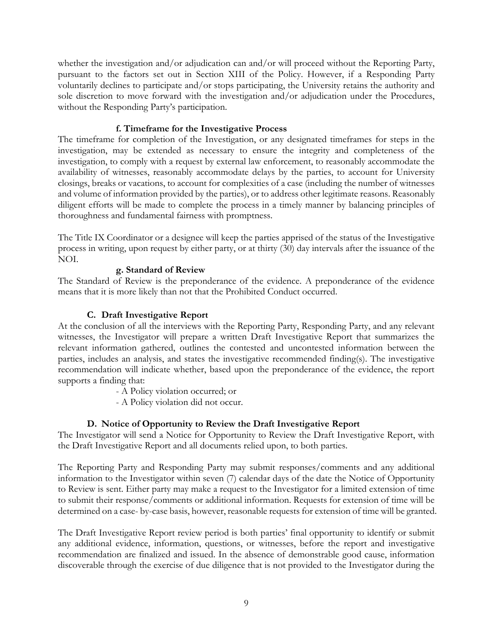whether the investigation and/or adjudication can and/or will proceed without the Reporting Party, pursuant to the factors set out in Section XIII of the Policy. However, if a Responding Party voluntarily declines to participate and/or stops participating, the University retains the authority and sole discretion to move forward with the investigation and/or adjudication under the Procedures, without the Responding Party's participation.

#### **f. Timeframe for the Investigative Process**

The timeframe for completion of the Investigation, or any designated timeframes for steps in the investigation, may be extended as necessary to ensure the integrity and completeness of the investigation, to comply with a request by external law enforcement, to reasonably accommodate the availability of witnesses, reasonably accommodate delays by the parties, to account for University closings, breaks or vacations, to account for complexities of a case (including the number of witnesses and volume of information provided by the parties), or to address other legitimate reasons. Reasonably diligent efforts will be made to complete the process in a timely manner by balancing principles of thoroughness and fundamental fairness with promptness.

The Title IX Coordinator or a designee will keep the parties apprised of the status of the Investigative process in writing, upon request by either party, or at thirty (30) day intervals after the issuance of the NOI.

## **g. Standard of Review**

The Standard of Review is the preponderance of the evidence. A preponderance of the evidence means that it is more likely than not that the Prohibited Conduct occurred.

## **C. Draft Investigative Report**

At the conclusion of all the interviews with the Reporting Party, Responding Party, and any relevant witnesses, the Investigator will prepare a written Draft Investigative Report that summarizes the relevant information gathered, outlines the contested and uncontested information between the parties, includes an analysis, and states the investigative recommended finding(s). The investigative recommendation will indicate whether, based upon the preponderance of the evidence, the report supports a finding that:

- A Policy violation occurred; or

- A Policy violation did not occur.

## **D. Notice of Opportunity to Review the Draft Investigative Report**

The Investigator will send a Notice for Opportunity to Review the Draft Investigative Report, with the Draft Investigative Report and all documents relied upon, to both parties.

The Reporting Party and Responding Party may submit responses/comments and any additional information to the Investigator within seven (7) calendar days of the date the Notice of Opportunity to Review is sent. Either party may make a request to the Investigator for a limited extension of time to submit their response/comments or additional information. Requests for extension of time will be determined on a case- by-case basis, however, reasonable requests for extension of time will be granted.

The Draft Investigative Report review period is both parties' final opportunity to identify or submit any additional evidence, information, questions, or witnesses, before the report and investigative recommendation are finalized and issued. In the absence of demonstrable good cause, information discoverable through the exercise of due diligence that is not provided to the Investigator during the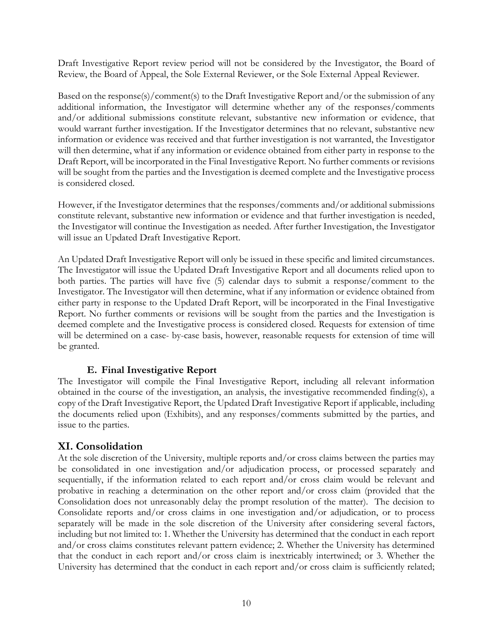Draft Investigative Report review period will not be considered by the Investigator, the Board of Review, the Board of Appeal, the Sole External Reviewer, or the Sole External Appeal Reviewer.

Based on the response(s)/comment(s) to the Draft Investigative Report and/or the submission of any additional information, the Investigator will determine whether any of the responses/comments and/or additional submissions constitute relevant, substantive new information or evidence, that would warrant further investigation. If the Investigator determines that no relevant, substantive new information or evidence was received and that further investigation is not warranted, the Investigator will then determine, what if any information or evidence obtained from either party in response to the Draft Report, will be incorporated in the Final Investigative Report. No further comments or revisions will be sought from the parties and the Investigation is deemed complete and the Investigative process is considered closed.

However, if the Investigator determines that the responses/comments and/or additional submissions constitute relevant, substantive new information or evidence and that further investigation is needed, the Investigator will continue the Investigation as needed. After further Investigation, the Investigator will issue an Updated Draft Investigative Report.

An Updated Draft Investigative Report will only be issued in these specific and limited circumstances. The Investigator will issue the Updated Draft Investigative Report and all documents relied upon to both parties. The parties will have five (5) calendar days to submit a response/comment to the Investigator. The Investigator will then determine, what if any information or evidence obtained from either party in response to the Updated Draft Report, will be incorporated in the Final Investigative Report. No further comments or revisions will be sought from the parties and the Investigation is deemed complete and the Investigative process is considered closed. Requests for extension of time will be determined on a case- by-case basis, however, reasonable requests for extension of time will be granted.

## **E. Final Investigative Report**

The Investigator will compile the Final Investigative Report, including all relevant information obtained in the course of the investigation, an analysis, the investigative recommended finding(s), a copy of the Draft Investigative Report, the Updated Draft Investigative Report if applicable, including the documents relied upon (Exhibits), and any responses/comments submitted by the parties, and issue to the parties.

# **XI. Consolidation**

At the sole discretion of the University, multiple reports and/or cross claims between the parties may be consolidated in one investigation and/or adjudication process, or processed separately and sequentially, if the information related to each report and/or cross claim would be relevant and probative in reaching a determination on the other report and/or cross claim (provided that the Consolidation does not unreasonably delay the prompt resolution of the matter). The decision to Consolidate reports and/or cross claims in one investigation and/or adjudication, or to process separately will be made in the sole discretion of the University after considering several factors, including but not limited to: 1. Whether the University has determined that the conduct in each report and/or cross claims constitutes relevant pattern evidence; 2. Whether the University has determined that the conduct in each report and/or cross claim is inextricably intertwined; or 3. Whether the University has determined that the conduct in each report and/or cross claim is sufficiently related;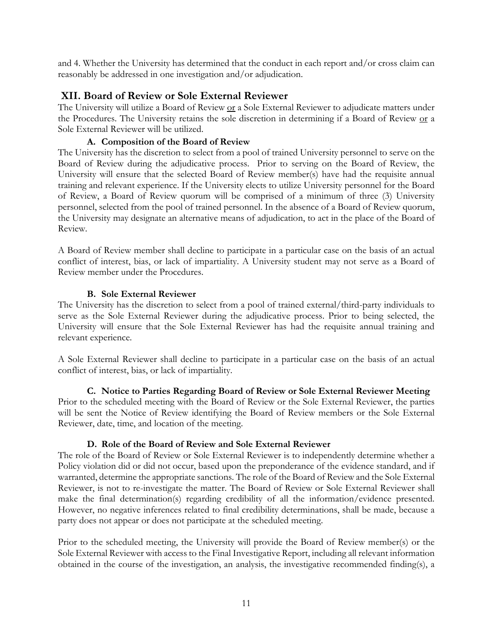and 4. Whether the University has determined that the conduct in each report and/or cross claim can reasonably be addressed in one investigation and/or adjudication.

## **XII. Board of Review or Sole External Reviewer**

The University will utilize a Board of Review or a Sole External Reviewer to adjudicate matters under the Procedures. The University retains the sole discretion in determining if a Board of Review or a Sole External Reviewer will be utilized.

#### **A. Composition of the Board of Review**

The University has the discretion to select from a pool of trained University personnel to serve on the Board of Review during the adjudicative process. Prior to serving on the Board of Review, the University will ensure that the selected Board of Review member(s) have had the requisite annual training and relevant experience. If the University elects to utilize University personnel for the Board of Review, a Board of Review quorum will be comprised of a minimum of three (3) University personnel, selected from the pool of trained personnel. In the absence of a Board of Review quorum, the University may designate an alternative means of adjudication, to act in the place of the Board of Review.

A Board of Review member shall decline to participate in a particular case on the basis of an actual conflict of interest, bias, or lack of impartiality. A University student may not serve as a Board of Review member under the Procedures.

#### **B. Sole External Reviewer**

The University has the discretion to select from a pool of trained external/third-party individuals to serve as the Sole External Reviewer during the adjudicative process. Prior to being selected, the University will ensure that the Sole External Reviewer has had the requisite annual training and relevant experience.

A Sole External Reviewer shall decline to participate in a particular case on the basis of an actual conflict of interest, bias, or lack of impartiality.

#### **C. Notice to Parties Regarding Board of Review or Sole External Reviewer Meeting**

Prior to the scheduled meeting with the Board of Review or the Sole External Reviewer, the parties will be sent the Notice of Review identifying the Board of Review members or the Sole External Reviewer, date, time, and location of the meeting.

#### **D. Role of the Board of Review and Sole External Reviewer**

The role of the Board of Review or Sole External Reviewer is to independently determine whether a Policy violation did or did not occur, based upon the preponderance of the evidence standard, and if warranted, determine the appropriate sanctions. The role of the Board of Review and the Sole External Reviewer, is not to re-investigate the matter. The Board of Review or Sole External Reviewer shall make the final determination(s) regarding credibility of all the information/evidence presented. However, no negative inferences related to final credibility determinations, shall be made, because a party does not appear or does not participate at the scheduled meeting.

Prior to the scheduled meeting, the University will provide the Board of Review member(s) or the Sole External Reviewer with access to the Final Investigative Report, including all relevant information obtained in the course of the investigation, an analysis, the investigative recommended finding(s), a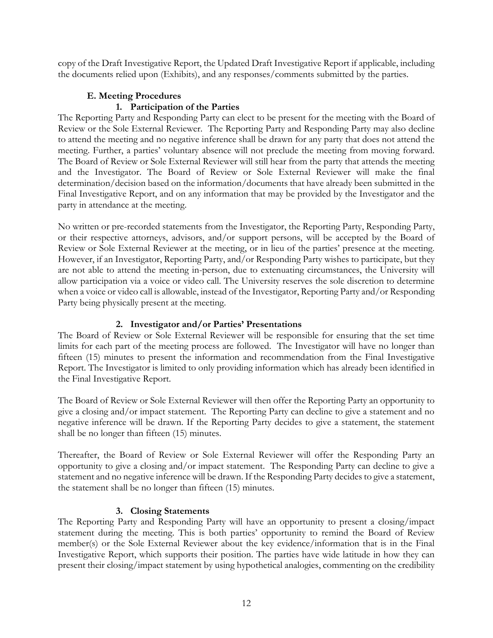copy of the Draft Investigative Report, the Updated Draft Investigative Report if applicable, including the documents relied upon (Exhibits), and any responses/comments submitted by the parties.

# **E. Meeting Procedures 1. Participation of the Parties**

The Reporting Party and Responding Party can elect to be present for the meeting with the Board of Review or the Sole External Reviewer. The Reporting Party and Responding Party may also decline to attend the meeting and no negative inference shall be drawn for any party that does not attend the meeting. Further, a parties' voluntary absence will not preclude the meeting from moving forward. The Board of Review or Sole External Reviewer will still hear from the party that attends the meeting and the Investigator. The Board of Review or Sole External Reviewer will make the final determination/decision based on the information/documents that have already been submitted in the Final Investigative Report, and on any information that may be provided by the Investigator and the party in attendance at the meeting.

No written or pre-recorded statements from the Investigator, the Reporting Party, Responding Party, or their respective attorneys, advisors, and/or support persons, will be accepted by the Board of Review or Sole External Reviewer at the meeting, or in lieu of the parties' presence at the meeting. However, if an Investigator, Reporting Party, and/or Responding Party wishes to participate, but they are not able to attend the meeting in-person, due to extenuating circumstances, the University will allow participation via a voice or video call. The University reserves the sole discretion to determine when a voice or video call is allowable, instead of the Investigator, Reporting Party and/or Responding Party being physically present at the meeting.

## **2. Investigator and/or Parties' Presentations**

The Board of Review or Sole External Reviewer will be responsible for ensuring that the set time limits for each part of the meeting process are followed. The Investigator will have no longer than fifteen (15) minutes to present the information and recommendation from the Final Investigative Report. The Investigator is limited to only providing information which has already been identified in the Final Investigative Report.

The Board of Review or Sole External Reviewer will then offer the Reporting Party an opportunity to give a closing and/or impact statement. The Reporting Party can decline to give a statement and no negative inference will be drawn. If the Reporting Party decides to give a statement, the statement shall be no longer than fifteen (15) minutes.

Thereafter, the Board of Review or Sole External Reviewer will offer the Responding Party an opportunity to give a closing and/or impact statement. The Responding Party can decline to give a statement and no negative inference will be drawn. If the Responding Party decides to give a statement, the statement shall be no longer than fifteen (15) minutes.

## **3. Closing Statements**

The Reporting Party and Responding Party will have an opportunity to present a closing/impact statement during the meeting. This is both parties' opportunity to remind the Board of Review member(s) or the Sole External Reviewer about the key evidence/information that is in the Final Investigative Report, which supports their position. The parties have wide latitude in how they can present their closing/impact statement by using hypothetical analogies, commenting on the credibility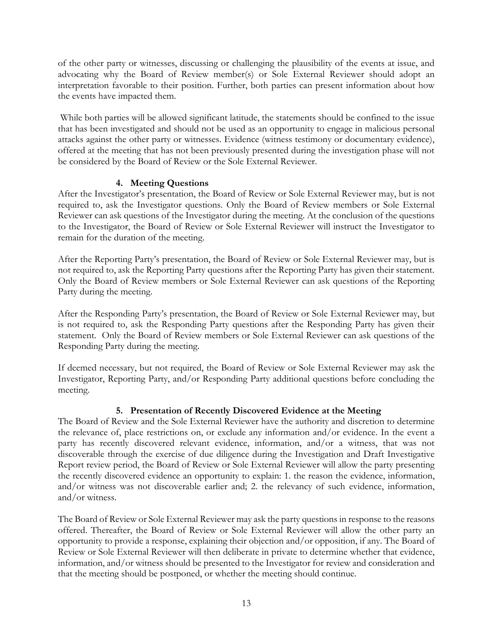of the other party or witnesses, discussing or challenging the plausibility of the events at issue, and advocating why the Board of Review member(s) or Sole External Reviewer should adopt an interpretation favorable to their position. Further, both parties can present information about how the events have impacted them.

While both parties will be allowed significant latitude, the statements should be confined to the issue that has been investigated and should not be used as an opportunity to engage in malicious personal attacks against the other party or witnesses. Evidence (witness testimony or documentary evidence), offered at the meeting that has not been previously presented during the investigation phase will not be considered by the Board of Review or the Sole External Reviewer.

#### **4. Meeting Questions**

After the Investigator's presentation, the Board of Review or Sole External Reviewer may, but is not required to, ask the Investigator questions. Only the Board of Review members or Sole External Reviewer can ask questions of the Investigator during the meeting. At the conclusion of the questions to the Investigator, the Board of Review or Sole External Reviewer will instruct the Investigator to remain for the duration of the meeting.

After the Reporting Party's presentation, the Board of Review or Sole External Reviewer may, but is not required to, ask the Reporting Party questions after the Reporting Party has given their statement. Only the Board of Review members or Sole External Reviewer can ask questions of the Reporting Party during the meeting.

After the Responding Party's presentation, the Board of Review or Sole External Reviewer may, but is not required to, ask the Responding Party questions after the Responding Party has given their statement. Only the Board of Review members or Sole External Reviewer can ask questions of the Responding Party during the meeting.

If deemed necessary, but not required, the Board of Review or Sole External Reviewer may ask the Investigator, Reporting Party, and/or Responding Party additional questions before concluding the meeting.

## **5. Presentation of Recently Discovered Evidence at the Meeting**

The Board of Review and the Sole External Reviewer have the authority and discretion to determine the relevance of, place restrictions on, or exclude any information and/or evidence. In the event a party has recently discovered relevant evidence, information, and/or a witness, that was not discoverable through the exercise of due diligence during the Investigation and Draft Investigative Report review period, the Board of Review or Sole External Reviewer will allow the party presenting the recently discovered evidence an opportunity to explain: 1. the reason the evidence, information, and/or witness was not discoverable earlier and; 2. the relevancy of such evidence, information, and/or witness.

The Board of Review or Sole External Reviewer may ask the party questions in response to the reasons offered. Thereafter, the Board of Review or Sole External Reviewer will allow the other party an opportunity to provide a response, explaining their objection and/or opposition, if any. The Board of Review or Sole External Reviewer will then deliberate in private to determine whether that evidence, information, and/or witness should be presented to the Investigator for review and consideration and that the meeting should be postponed, or whether the meeting should continue.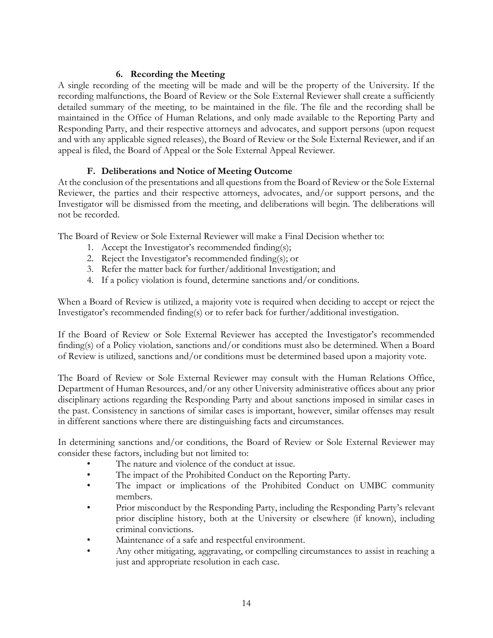#### **6. Recording the Meeting**

A single recording of the meeting will be made and will be the property of the University. If the recording malfunctions, the Board of Review or the Sole External Reviewer shall create a sufficiently detailed summary of the meeting, to be maintained in the file. The file and the recording shall be maintained in the Office of Human Relations, and only made available to the Reporting Party and Responding Party, and their respective attorneys and advocates, and support persons (upon request and with any applicable signed releases), the Board of Review or the Sole External Reviewer, and if an appeal is filed, the Board of Appeal or the Sole External Appeal Reviewer.

#### **F. Deliberations and Notice of Meeting Outcome**

At the conclusion of the presentations and all questions from the Board of Review or the Sole External Reviewer, the parties and their respective attorneys, advocates, and/or support persons, and the Investigator will be dismissed from the meeting, and deliberations will begin. The deliberations will not be recorded.

The Board of Review or Sole External Reviewer will make a Final Decision whether to:

- 1. Accept the Investigator's recommended finding(s);
- 2. Reject the Investigator's recommended finding(s); or
- 3. Refer the matter back for further/additional Investigation; and
- 4. If a policy violation is found, determine sanctions and/or conditions.

When a Board of Review is utilized, a majority vote is required when deciding to accept or reject the Investigator's recommended finding(s) or to refer back for further/additional investigation.

If the Board of Review or Sole External Reviewer has accepted the Investigator's recommended finding(s) of a Policy violation, sanctions and/or conditions must also be determined. When a Board of Review is utilized, sanctions and/or conditions must be determined based upon a majority vote.

The Board of Review or Sole External Reviewer may consult with the Human Relations Office, Department of Human Resources, and/or any other University administrative offices about any prior disciplinary actions regarding the Responding Party and about sanctions imposed in similar cases in the past. Consistency in sanctions of similar cases is important, however, similar offenses may result in different sanctions where there are distinguishing facts and circumstances.

In determining sanctions and/or conditions, the Board of Review or Sole External Reviewer may consider these factors, including but not limited to:

- The nature and violence of the conduct at issue.
- The impact of the Prohibited Conduct on the Reporting Party.
- The impact or implications of the Prohibited Conduct on UMBC community members.
- Prior misconduct by the Responding Party, including the Responding Party's relevant prior discipline history, both at the University or elsewhere (if known), including criminal convictions.
- Maintenance of a safe and respectful environment.
- Any other mitigating, aggravating, or compelling circumstances to assist in reaching a just and appropriate resolution in each case.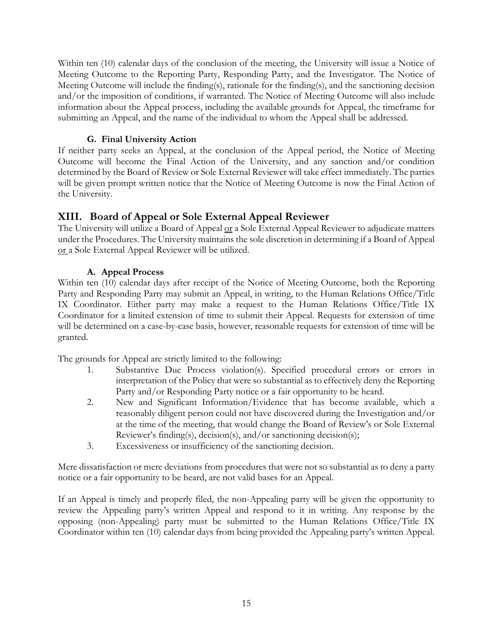Within ten (10) calendar days of the conclusion of the meeting, the University will issue a Notice of Meeting Outcome to the Reporting Party, Responding Party, and the Investigator. The Notice of Meeting Outcome will include the finding(s), rationale for the finding(s), and the sanctioning decision and/or the imposition of conditions, if warranted. The Notice of Meeting Outcome will also include information about the Appeal process, including the available grounds for Appeal, the timeframe for submitting an Appeal, and the name of the individual to whom the Appeal shall be addressed.

## **G. Final University Action**

If neither party seeks an Appeal, at the conclusion of the Appeal period, the Notice of Meeting Outcome will become the Final Action of the University, and any sanction and/or condition determined by the Board of Review or Sole External Reviewer will take effect immediately. The parties will be given prompt written notice that the Notice of Meeting Outcome is now the Final Action of the University.

# **XIII. Board of Appeal or Sole External Appeal Reviewer**

The University will utilize a Board of Appeal or a Sole External Appeal Reviewer to adjudicate matters under the Procedures. The University maintains the sole discretion in determining if a Board of Appeal or a Sole External Appeal Reviewer will be utilized.

# **A. Appeal Process**

Within ten (10) calendar days after receipt of the Notice of Meeting Outcome, both the Reporting Party and Responding Party may submit an Appeal, in writing, to the Human Relations Office/Title IX Coordinator. Either party may make a request to the Human Relations Office/Title IX Coordinator for a limited extension of time to submit their Appeal. Requests for extension of time will be determined on a case-by-case basis, however, reasonable requests for extension of time will be granted.

The grounds for Appeal are strictly limited to the following:

- 1. Substantive Due Process violation(s). Specified procedural errors or errors in interpretation of the Policy that were so substantial as to effectively deny the Reporting Party and/or Responding Party notice or a fair opportunity to be heard.
- 2. New and Significant Information/Evidence that has become available, which a reasonably diligent person could not have discovered during the Investigation and/or at the time of the meeting, that would change the Board of Review's or Sole External Reviewer's finding(s), decision(s), and/or sanctioning decision(s);
- 3. Excessiveness or insufficiency of the sanctioning decision.

Mere dissatisfaction or mere deviations from procedures that were not so substantial as to deny a party notice or a fair opportunity to be heard, are not valid bases for an Appeal.

If an Appeal is timely and properly filed, the non-Appealing party will be given the opportunity to review the Appealing party's written Appeal and respond to it in writing. Any response by the opposing (non-Appealing) party must be submitted to the Human Relations Office/Title IX Coordinator within ten (10) calendar days from being provided the Appealing party's written Appeal.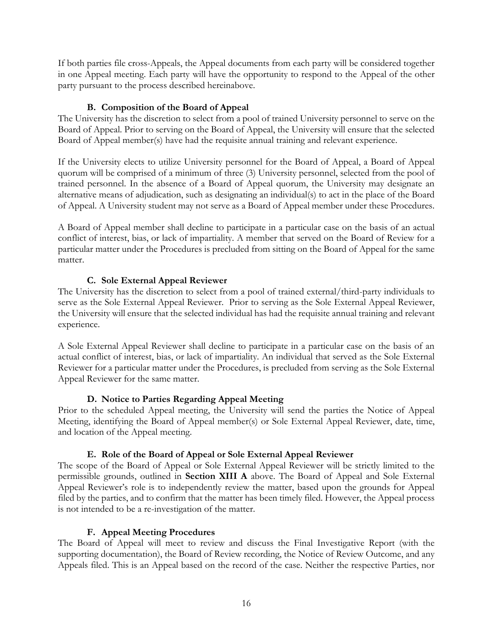If both parties file cross-Appeals, the Appeal documents from each party will be considered together in one Appeal meeting. Each party will have the opportunity to respond to the Appeal of the other party pursuant to the process described hereinabove.

#### **B. Composition of the Board of Appeal**

The University has the discretion to select from a pool of trained University personnel to serve on the Board of Appeal. Prior to serving on the Board of Appeal, the University will ensure that the selected Board of Appeal member(s) have had the requisite annual training and relevant experience.

If the University elects to utilize University personnel for the Board of Appeal, a Board of Appeal quorum will be comprised of a minimum of three (3) University personnel, selected from the pool of trained personnel. In the absence of a Board of Appeal quorum, the University may designate an alternative means of adjudication, such as designating an individual(s) to act in the place of the Board of Appeal. A University student may not serve as a Board of Appeal member under these Procedures.

A Board of Appeal member shall decline to participate in a particular case on the basis of an actual conflict of interest, bias, or lack of impartiality. A member that served on the Board of Review for a particular matter under the Procedures is precluded from sitting on the Board of Appeal for the same matter.

## **C. Sole External Appeal Reviewer**

The University has the discretion to select from a pool of trained external/third-party individuals to serve as the Sole External Appeal Reviewer. Prior to serving as the Sole External Appeal Reviewer, the University will ensure that the selected individual has had the requisite annual training and relevant experience.

A Sole External Appeal Reviewer shall decline to participate in a particular case on the basis of an actual conflict of interest, bias, or lack of impartiality. An individual that served as the Sole External Reviewer for a particular matter under the Procedures, is precluded from serving as the Sole External Appeal Reviewer for the same matter.

#### **D. Notice to Parties Regarding Appeal Meeting**

Prior to the scheduled Appeal meeting, the University will send the parties the Notice of Appeal Meeting, identifying the Board of Appeal member(s) or Sole External Appeal Reviewer, date, time, and location of the Appeal meeting.

## **E. Role of the Board of Appeal or Sole External Appeal Reviewer**

The scope of the Board of Appeal or Sole External Appeal Reviewer will be strictly limited to the permissible grounds, outlined in **Section XIII A** above. The Board of Appeal and Sole External Appeal Reviewer's role is to independently review the matter, based upon the grounds for Appeal filed by the parties, and to confirm that the matter has been timely filed. However, the Appeal process is not intended to be a re-investigation of the matter.

#### **F. Appeal Meeting Procedures**

The Board of Appeal will meet to review and discuss the Final Investigative Report (with the supporting documentation), the Board of Review recording, the Notice of Review Outcome, and any Appeals filed. This is an Appeal based on the record of the case. Neither the respective Parties, nor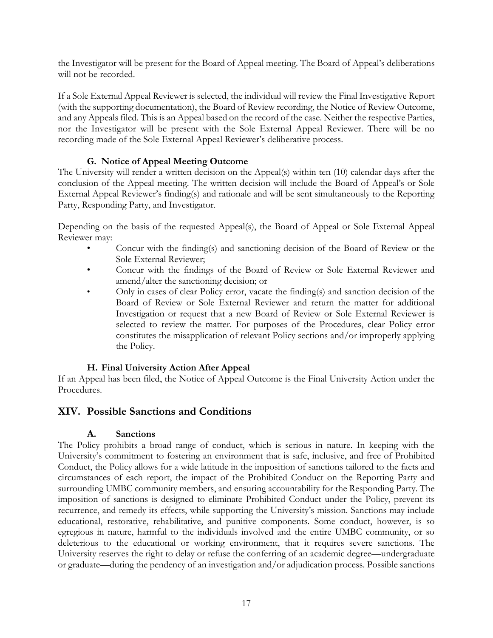the Investigator will be present for the Board of Appeal meeting. The Board of Appeal's deliberations will not be recorded.

If a Sole External Appeal Reviewer is selected, the individual will review the Final Investigative Report (with the supporting documentation), the Board of Review recording, the Notice of Review Outcome, and any Appeals filed. This is an Appeal based on the record of the case. Neither the respective Parties, nor the Investigator will be present with the Sole External Appeal Reviewer. There will be no recording made of the Sole External Appeal Reviewer's deliberative process.

# **G. Notice of Appeal Meeting Outcome**

The University will render a written decision on the Appeal(s) within ten (10) calendar days after the conclusion of the Appeal meeting. The written decision will include the Board of Appeal's or Sole External Appeal Reviewer's finding(s) and rationale and will be sent simultaneously to the Reporting Party, Responding Party, and Investigator.

Depending on the basis of the requested Appeal(s), the Board of Appeal or Sole External Appeal Reviewer may:

- Concur with the finding(s) and sanctioning decision of the Board of Review or the Sole External Reviewer;
- Concur with the findings of the Board of Review or Sole External Reviewer and amend/alter the sanctioning decision; or
- Only in cases of clear Policy error, vacate the finding(s) and sanction decision of the Board of Review or Sole External Reviewer and return the matter for additional Investigation or request that a new Board of Review or Sole External Reviewer is selected to review the matter. For purposes of the Procedures, clear Policy error constitutes the misapplication of relevant Policy sections and/or improperly applying the Policy.

## **H. Final University Action After Appeal**

If an Appeal has been filed, the Notice of Appeal Outcome is the Final University Action under the Procedures.

# **XIV. Possible Sanctions and Conditions**

## **A. Sanctions**

The Policy prohibits a broad range of conduct, which is serious in nature. In keeping with the University's commitment to fostering an environment that is safe, inclusive, and free of Prohibited Conduct, the Policy allows for a wide latitude in the imposition of sanctions tailored to the facts and circumstances of each report, the impact of the Prohibited Conduct on the Reporting Party and surrounding UMBC community members, and ensuring accountability for the Responding Party. The imposition of sanctions is designed to eliminate Prohibited Conduct under the Policy, prevent its recurrence, and remedy its effects, while supporting the University's mission. Sanctions may include educational, restorative, rehabilitative, and punitive components. Some conduct, however, is so egregious in nature, harmful to the individuals involved and the entire UMBC community, or so deleterious to the educational or working environment, that it requires severe sanctions. The University reserves the right to delay or refuse the conferring of an academic degree—undergraduate or graduate—during the pendency of an investigation and/or adjudication process. Possible sanctions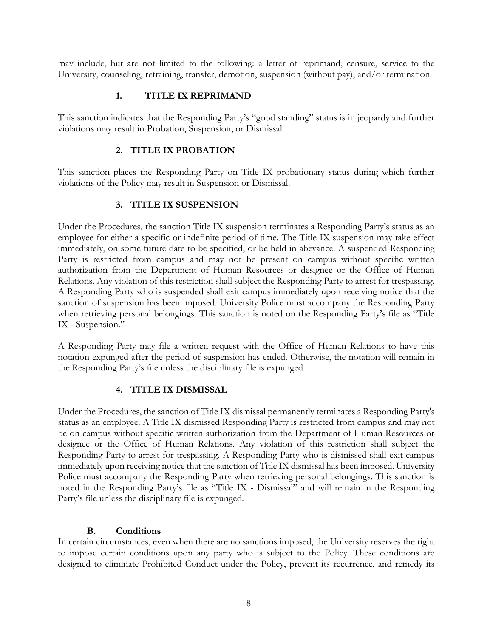may include, but are not limited to the following: a letter of reprimand, censure, service to the University, counseling, retraining, transfer, demotion, suspension (without pay), and/or termination.

#### **1. TITLE IX REPRIMAND**

This sanction indicates that the Responding Party's "good standing" status is in jeopardy and further violations may result in Probation, Suspension, or Dismissal.

## **2. TITLE IX PROBATION**

This sanction places the Responding Party on Title IX probationary status during which further violations of the Policy may result in Suspension or Dismissal.

#### **3. TITLE IX SUSPENSION**

Under the Procedures, the sanction Title IX suspension terminates a Responding Party's status as an employee for either a specific or indefinite period of time. The Title IX suspension may take effect immediately, on some future date to be specified, or be held in abeyance. A suspended Responding Party is restricted from campus and may not be present on campus without specific written authorization from the Department of Human Resources or designee or the Office of Human Relations. Any violation of this restriction shall subject the Responding Party to arrest for trespassing. A Responding Party who is suspended shall exit campus immediately upon receiving notice that the sanction of suspension has been imposed. University Police must accompany the Responding Party when retrieving personal belongings. This sanction is noted on the Responding Party's file as "Title IX - Suspension."

A Responding Party may file a written request with the Office of Human Relations to have this notation expunged after the period of suspension has ended. Otherwise, the notation will remain in the Responding Party's file unless the disciplinary file is expunged.

## **4. TITLE IX DISMISSAL**

Under the Procedures, the sanction of Title IX dismissal permanently terminates a Responding Party's status as an employee. A Title IX dismissed Responding Party is restricted from campus and may not be on campus without specific written authorization from the Department of Human Resources or designee or the Office of Human Relations. Any violation of this restriction shall subject the Responding Party to arrest for trespassing. A Responding Party who is dismissed shall exit campus immediately upon receiving notice that the sanction of Title IX dismissal has been imposed. University Police must accompany the Responding Party when retrieving personal belongings. This sanction is noted in the Responding Party's file as "Title IX - Dismissal" and will remain in the Responding Party's file unless the disciplinary file is expunged.

## **B. Conditions**

In certain circumstances, even when there are no sanctions imposed, the University reserves the right to impose certain conditions upon any party who is subject to the Policy. These conditions are designed to eliminate Prohibited Conduct under the Policy, prevent its recurrence, and remedy its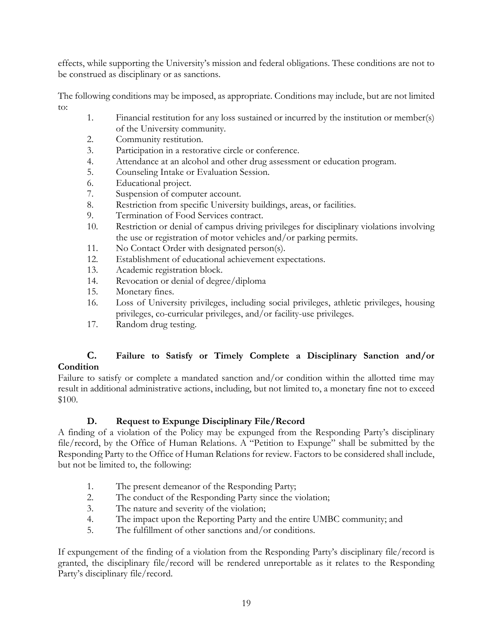effects, while supporting the University's mission and federal obligations. These conditions are not to be construed as disciplinary or as sanctions.

The following conditions may be imposed, as appropriate. Conditions may include, but are not limited to:

- 1. Financial restitution for any loss sustained or incurred by the institution or member(s) of the University community.
- 2. Community restitution.
- 3. Participation in a restorative circle or conference.
- 4. Attendance at an alcohol and other drug assessment or education program.
- 5. Counseling Intake or Evaluation Session.
- 6. Educational project.
- 7. Suspension of computer account.
- 8. Restriction from specific University buildings, areas, or facilities.
- 9. Termination of Food Services contract.
- 10. Restriction or denial of campus driving privileges for disciplinary violations involving the use or registration of motor vehicles and/or parking permits.
- 11. No Contact Order with designated person(s).
- 12. Establishment of educational achievement expectations.
- 13. Academic registration block.
- 14. Revocation or denial of degree/diploma
- 15. Monetary fines.
- 16. Loss of University privileges, including social privileges, athletic privileges, housing privileges, co-curricular privileges, and/or facility-use privileges.
- 17. Random drug testing.

# **C. Failure to Satisfy or Timely Complete a Disciplinary Sanction and/or**

## **Condition**

Failure to satisfy or complete a mandated sanction and/or condition within the allotted time may result in additional administrative actions, including, but not limited to, a monetary fine not to exceed \$100.

# **D. Request to Expunge Disciplinary File/Record**

A finding of a violation of the Policy may be expunged from the Responding Party's disciplinary file/record, by the Office of Human Relations. A "Petition to Expunge" shall be submitted by the Responding Party to the Office of Human Relations for review. Factors to be considered shall include, but not be limited to, the following:

- 1. The present demeanor of the Responding Party;<br>2. The conduct of the Responding Party since the v
- The conduct of the Responding Party since the violation;
- 3. The nature and severity of the violation;
- 4. The impact upon the Reporting Party and the entire UMBC community; and
- 5. The fulfillment of other sanctions and/or conditions.

If expungement of the finding of a violation from the Responding Party's disciplinary file/record is granted, the disciplinary file/record will be rendered unreportable as it relates to the Responding Party's disciplinary file/record.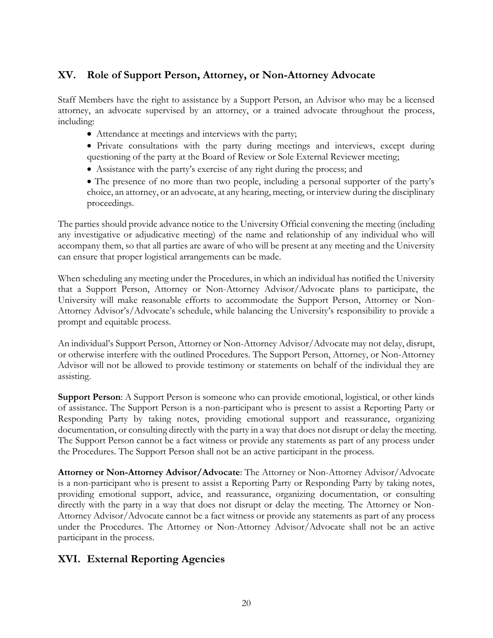# **XV. Role of Support Person, Attorney, or Non-Attorney Advocate**

Staff Members have the right to assistance by a Support Person, an Advisor who may be a licensed attorney, an advocate supervised by an attorney, or a trained advocate throughout the process, including:

- Attendance at meetings and interviews with the party;
- Private consultations with the party during meetings and interviews, except during questioning of the party at the Board of Review or Sole External Reviewer meeting;
- Assistance with the party's exercise of any right during the process; and
- The presence of no more than two people, including a personal supporter of the party's choice, an attorney, or an advocate, at any hearing, meeting, or interview during the disciplinary proceedings.

The parties should provide advance notice to the University Official convening the meeting (including any investigative or adjudicative meeting) of the name and relationship of any individual who will accompany them, so that all parties are aware of who will be present at any meeting and the University can ensure that proper logistical arrangements can be made.

When scheduling any meeting under the Procedures, in which an individual has notified the University that a Support Person, Attorney or Non-Attorney Advisor/Advocate plans to participate, the University will make reasonable efforts to accommodate the Support Person, Attorney or Non-Attorney Advisor's/Advocate's schedule, while balancing the University's responsibility to provide a prompt and equitable process.

An individual's Support Person, Attorney or Non-Attorney Advisor/Advocate may not delay, disrupt, or otherwise interfere with the outlined Procedures. The Support Person, Attorney, or Non-Attorney Advisor will not be allowed to provide testimony or statements on behalf of the individual they are assisting.

**Support Person**: A Support Person is someone who can provide emotional, logistical, or other kinds of assistance. The Support Person is a non-participant who is present to assist a Reporting Party or Responding Party by taking notes, providing emotional support and reassurance, organizing documentation, or consulting directly with the party in a way that does not disrupt or delay the meeting. The Support Person cannot be a fact witness or provide any statements as part of any process under the Procedures. The Support Person shall not be an active participant in the process.

**Attorney or Non-Attorney Advisor/Advocate**: The Attorney or Non-Attorney Advisor/Advocate is a non-participant who is present to assist a Reporting Party or Responding Party by taking notes, providing emotional support, advice, and reassurance, organizing documentation, or consulting directly with the party in a way that does not disrupt or delay the meeting. The Attorney or Non-Attorney Advisor/Advocate cannot be a fact witness or provide any statements as part of any process under the Procedures. The Attorney or Non-Attorney Advisor/Advocate shall not be an active participant in the process.

# **XVI. External Reporting Agencies**